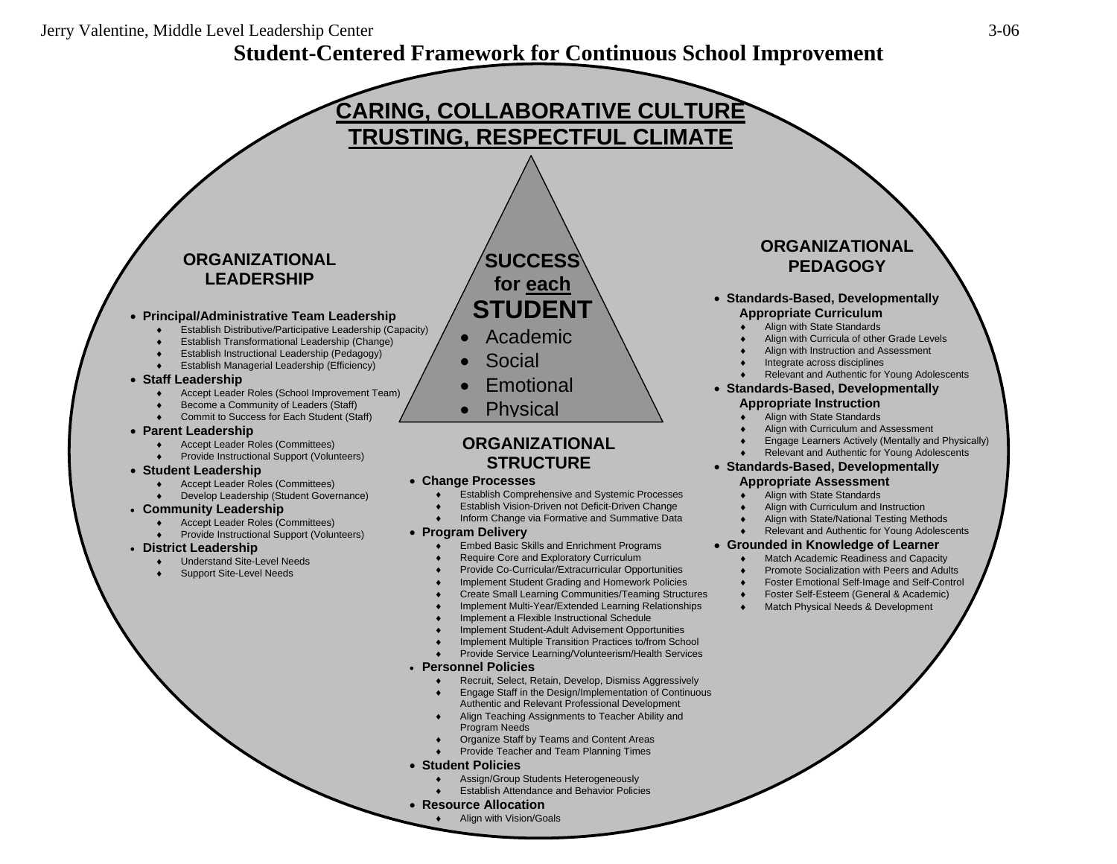## Jerry Valentine, Middle Level Leadership Center 3-06

## **Student-Centered Framework for Continuous School Improvement**



## • **Student Policies**

- Assign/Group Students Heterogeneously
- ♦ Establish Attendance and Behavior Policies

## • **Resource Allocation**

Align with Vision/Goals